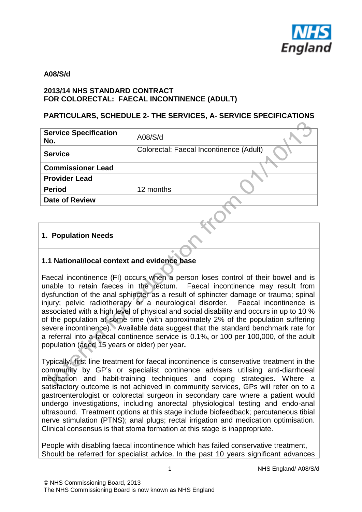

#### **A08/S/d**

### **2013/14 NHS STANDARD CONTRACT FOR COLORECTAL: FAECAL INCONTINENCE (ADULT)**

### **PARTICULARS, SCHEDULE 2- THE SERVICES, A- SERVICE SPECIFICATIONS**

| <b>Service Specification</b><br>No. | A08/S/d                                 |
|-------------------------------------|-----------------------------------------|
| <b>Service</b>                      | Colorectal: Faecal Incontinence (Adult) |
| <b>Commissioner Lead</b>            |                                         |
| <b>Provider Lead</b>                |                                         |
| <b>Period</b>                       | 12 months                               |
| <b>Date of Review</b>               |                                         |
|                                     |                                         |

### **1. Population Needs**

## **1.1 National/local context and evidence base**

Faecal incontinence (FI) occurs when a person loses control of their bowel and is unable to retain faeces in the rectum. Faecal incontinence may result from dysfunction of the anal sphincter as a result of sphincter damage or trauma; spinal injury; pelvic radiotherapy or a neurological disorder. Faecal incontinence is associated with a high level of physical and social disability and occurs in up to 10 % of the population at some time (with approximately 2% of the population suffering severe incontinence). Available data suggest that the standard benchmark rate for a referral into a faecal continence service is 0.1%**,** or 100 per 100,000, of the adult population (aged 15 years or older) per year**.** 

Typically, first line treatment for faecal incontinence is conservative treatment in the community by GP's or specialist continence advisers utilising anti-diarrhoeal medication and habit-training techniques and coping strategies. Where a satisfactory outcome is not achieved in community services, GPs will refer on to a gastroenterologist or colorectal surgeon in secondary care where a patient would undergo investigations, including anorectal physiological testing and endo-anal ultrasound. Treatment options at this stage include biofeedback; percutaneous tibial nerve stimulation (PTNS); anal plugs; rectal irrigation and medication optimisation. Clinical consensus is that stoma formation at this stage is inappropriate.

People with disabling faecal incontinence which has failed conservative treatment, Should be referred for specialist advice. In the past 10 years significant advances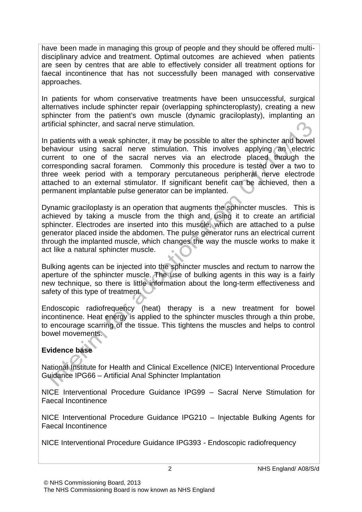have been made in managing this group of people and they should be offered multidisciplinary advice and treatment. Optimal outcomes are achieved when patients are seen by centres that are able to effectively consider all treatment options for faecal incontinence that has not successfully been managed with conservative approaches.

In patients for whom conservative treatments have been unsuccessful, surgical alternatives include sphincter repair (overlapping sphincteroplasty), creating a new sphincter from the patient's own muscle (dynamic graciloplasty), implanting an artificial sphincter, and sacral nerve stimulation.

In patients with a weak sphincter, it may be possible to alter the sphincter and bowel behaviour using sacral nerve stimulation. This involves applying an electric current to one of the sacral nerves via an electrode placed through the corresponding sacral foramen. Commonly this procedure is tested over a two to three week period with a temporary percutaneous peripheral nerve electrode attached to an external stimulator. If significant benefit can be achieved, then a permanent implantable pulse generator can be implanted.

Dynamic graciloplasty is an operation that augments the sphincter muscles. This is achieved by taking a muscle from the thigh and using it to create an artificial sphincter. Electrodes are inserted into this muscle, which are attached to a pulse generator placed inside the abdomen. The pulse generator runs an electrical current through the implanted muscle, which changes the way the muscle works to make it act like a natural sphincter muscle.

Bulking agents can be injected into the sphincter muscles and rectum to narrow the aperture of the sphincter muscle. The use of bulking agents in this way is a fairly new technique, so there is little information about the long-term effectiveness and safety of this type of treatment.

Endoscopic radiofrequency (heat) therapy is a new treatment for bowel incontinence. Heat energy is applied to the sphincter muscles through a thin probe, to encourage scarring of the tissue. This tightens the muscles and helps to control bowel movements.

# **Evidence base**

National Institute for Health and Clinical Excellence (NICE) Interventional Procedure Guidance IPG66 – Artificial Anal Sphincter Implantation

NICE Interventional Procedure Guidance IPG99 – Sacral Nerve Stimulation for Faecal Incontinence

NICE Interventional Procedure Guidance IPG210 – Injectable Bulking Agents for Faecal Incontinence

NICE Interventional Procedure Guidance IPG393 - Endoscopic radiofrequency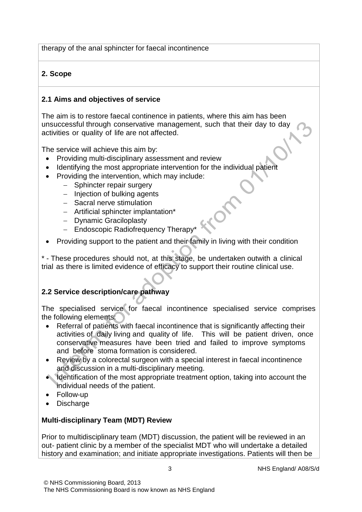therapy of the anal sphincter for faecal incontinence

# **2. Scope**

## **2.1 Aims and objectives of service**

The aim is to restore faecal continence in patients, where this aim has been unsuccessful through conservative management, such that their day to day activities or quality of life are not affected.

The service will achieve this aim by:

- Providing multi-disciplinary assessment and review
- Identifying the most appropriate intervention for the individual patient
- Providing the intervention, which may include:
	- − Sphincter repair surgery
	- − Injection of bulking agents
	- − Sacral nerve stimulation
	- − Artificial sphincter implantation\*
	- − Dynamic Graciloplasty
	- − Endoscopic Radiofrequency Therapy\*
- Providing support to the patient and their family in living with their condition

\* - These procedures should not, at this stage, be undertaken outwith a clinical trial as there is limited evidence of efficacy to support their routine clinical use.

# **2.2 Service description/care pathway**

The specialised service for faecal incontinence specialised service comprises the following elements:

- Referral of patients with faecal incontinence that is significantly affecting their activities of daily living and quality of life. This will be patient driven, once conservative measures have been tried and failed to improve symptoms and before stoma formation is considered.
- Review by a colorectal surgeon with a special interest in faecal incontinence and discussion in a multi-disciplinary meeting.
- Identification of the most appropriate treatment option, taking into account the individual needs of the patient.
- Follow-up
- Discharge

## **Multi-disciplinary Team (MDT) Review**

Prior to multidisciplinary team (MDT) discussion, the patient will be reviewed in an out- patient clinic by a member of the specialist MDT who will undertake a detailed history and examination; and initiate appropriate investigations. Patients will then be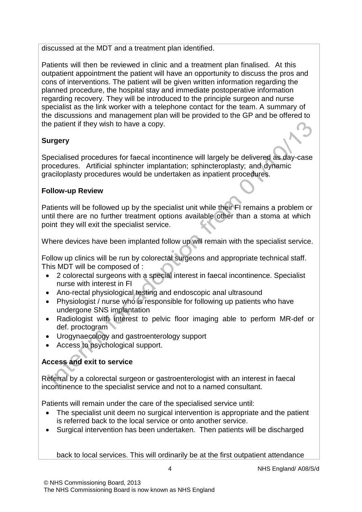discussed at the MDT and a treatment plan identified.

Patients will then be reviewed in clinic and a treatment plan finalised. At this outpatient appointment the patient will have an opportunity to discuss the pros and cons of interventions. The patient will be given written information regarding the planned procedure, the hospital stay and immediate postoperative information regarding recovery. They will be introduced to the principle surgeon and nurse specialist as the link worker with a telephone contact for the team. A summary of the discussions and management plan will be provided to the GP and be offered to the patient if they wish to have a copy.

# **Surgery**

Specialised procedures for faecal incontinence will largely be delivered as day-case procedures. Artificial sphincter implantation; sphincteroplasty; and dynamic graciloplasty procedures would be undertaken as inpatient procedures.

## **Follow-up Review**

Patients will be followed up by the specialist unit while their FI remains a problem or until there are no further treatment options available other than a stoma at which point they will exit the specialist service.

Where devices have been implanted follow up will remain with the specialist service.

Follow up clinics will be run by colorectal surgeons and appropriate technical staff. This MDT will be composed of :

- 2 colorectal surgeons with a special interest in faecal incontinence. Specialist nurse with interest in FI
- Ano-rectal physiological testing and endoscopic anal ultrasound
- Physiologist / nurse who is responsible for following up patients who have undergone SNS implantation
- Radiologist with interest to pelvic floor imaging able to perform MR-def or def. proctogram
- Urogynaecology and gastroenterology support
- Access to psychological support.

# **Access and exit to service**

Referral by a colorectal surgeon or gastroenterologist with an interest in faecal incontinence to the specialist service and not to a named consultant.

Patients will remain under the care of the specialised service until:

- The specialist unit deem no surgical intervention is appropriate and the patient is referred back to the local service or onto another service.
- Surgical intervention has been undertaken. Then patients will be discharged

back to local services. This will ordinarily be at the first outpatient attendance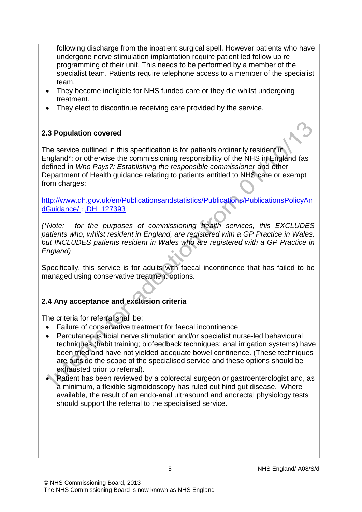following discharge from the inpatient surgical spell. However patients who have undergone nerve stimulation implantation require patient led follow up re programming of their unit. This needs to be performed by a member of the specialist team. Patients require telephone access to a member of the specialist team.

- They become ineligible for NHS funded care or they die whilst undergoing treatment.
- They elect to discontinue receiving care provided by the service.

# **2.3 Population covered**

The service outlined in this specification is for patients ordinarily resident in England\*; or otherwise the commissioning responsibility of the NHS in England (as defined in *Who Pays?: Establishing the responsible commissioner* and other Department of Health guidance relating to patients entitled to NHS care or exempt from charges:

[http://www.dh.gov.uk/en/Publicationsandstatistics/Publications/PublicationsPolicyAn](http://www.dh.gov.uk/en/Publicationsandstatistics/Publications/PublicationsPolicyAndGuidance/DH_127393) dGuidance/ :.[DH\\_127393](http://www.dh.gov.uk/en/Publicationsandstatistics/Publications/PublicationsPolicyAndGuidance/DH_127393)

*(\*Note: for the purposes of commissioning health services, this EXCLUDES patients who, whilst resident in England, are registered with a GP Practice in Wales, but INCLUDES patients resident in Wales who are registered with a GP Practice in England)*

Specifically, this service is for adults with faecal incontinence that has failed to be managed using conservative treatment options.

# **2.4 Any acceptance and exclusion criteria**

The criteria for referral shall be:

- Failure of conservative treatment for faecal incontinence
- Percutaneous tibial nerve stimulation and/or specialist nurse-led behavioural techniques (habit training; biofeedback techniques; anal irrigation systems) have been tried and have not yielded adequate bowel continence. (These techniques are outside the scope of the specialised service and these options should be exhausted prior to referral).
- Patient has been reviewed by a colorectal surgeon or gastroenterologist and, as a minimum, a flexible sigmoidoscopy has ruled out hind gut disease. Where available, the result of an endo-anal ultrasound and anorectal physiology tests should support the referral to the specialised service.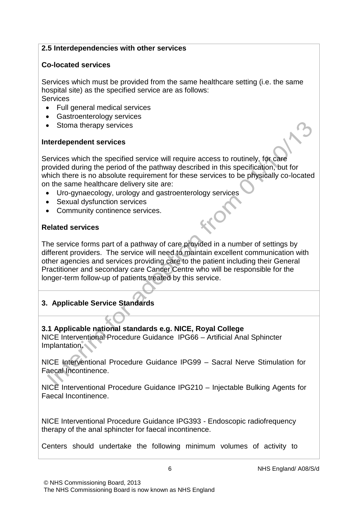### **2.5 Interdependencies with other services**

### **Co-located services**

Services which must be provided from the same healthcare setting (i.e. the same hospital site) as the specified service are as follows: **Services** 

- Full general medical services
- Gastroenterology services
- Stoma therapy services

### **Interdependent services**

Services which the specified service will require access to routinely, for care provided during the period of the pathway described in this specification, but for which there is no absolute requirement for these services to be physically co-located on the same healthcare delivery site are:

- Uro-gynaecology, urology and gastroenterology services
- Sexual dysfunction services
- Community continence services.

## **Related services**

The service forms part of a pathway of care provided in a number of settings by different providers. The service will need to maintain excellent communication with other agencies and services providing care to the patient including their General Practitioner and secondary care Cancer Centre who will be responsible for the longer-term follow-up of patients treated by this service.

# **3. Applicable Service Standards**

## **3.1 Applicable national standards e.g. NICE, Royal College**

NICE Interventional Procedure Guidance IPG66 – Artificial Anal Sphincter Implantation.

NICE Interventional Procedure Guidance IPG99 – Sacral Nerve Stimulation for Faecal Incontinence.

NICE Interventional Procedure Guidance IPG210 – Injectable Bulking Agents for Faecal Incontinence.

NICE Interventional Procedure Guidance IPG393 - Endoscopic radiofrequency therapy of the anal sphincter for faecal incontinence.

Centers should undertake the following minimum volumes of activity to